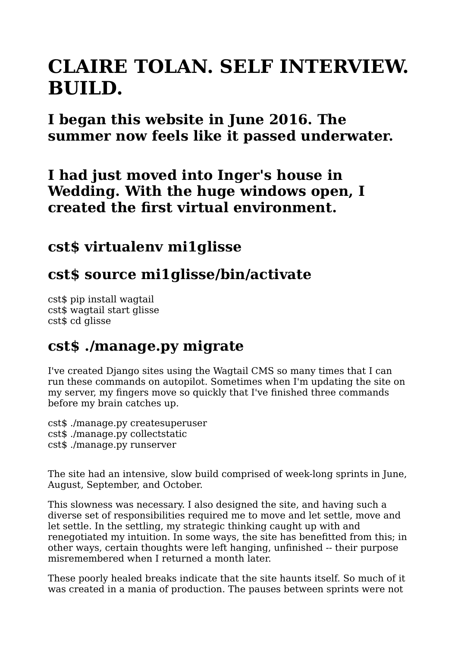# **CLAIRE TOLAN. SELF INTERVIEW. BUILD.**

## **I began this website in June 2016. The summer now feels like it passed underwater.**

### **I had just moved into Inger's house in Wedding. With the huge windows open, I created the first virtual environment.**

## **cst\$ virtualenv mi1glisse**

## **cst\$ source mi1glisse/bin/activate**

cst\$ pip install wagtail cst\$ wagtail start glisse cst\$ cd glisse

## **cst\$ ./manage.py migrate**

I've created Django sites using the Wagtail CMS so many times that I can run these commands on autopilot. Sometimes when I'm updating the site on my server, my fingers move so quickly that I've finished three commands before my brain catches up.

cst\$ ./manage.py createsuperuser cst\$ ./manage.py collectstatic cst\$ ./manage.py runserver

The site had an intensive, slow build comprised of week-long sprints in June, August, September, and October.

This slowness was necessary. I also designed the site, and having such a diverse set of responsibilities required me to move and let settle, move and let settle. In the settling, my strategic thinking caught up with and renegotiated my intuition. In some ways, the site has benefitted from this; in other ways, certain thoughts were left hanging, unfinished -- their purpose misremembered when I returned a month later.

These poorly healed breaks indicate that the site haunts itself. So much of it was created in a mania of production. The pauses between sprints were not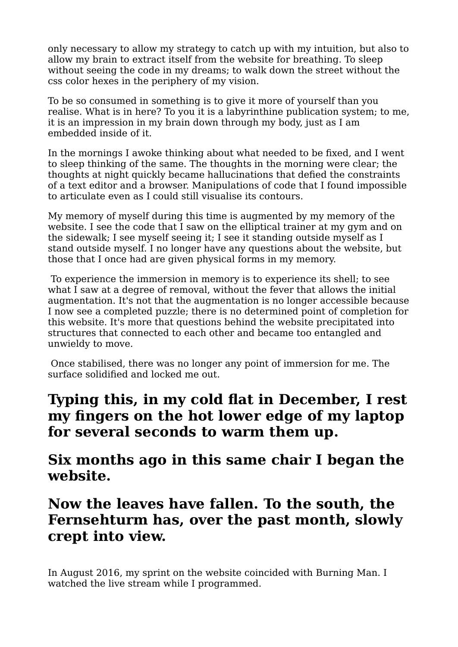only necessary to allow my strategy to catch up with my intuition, but also to allow my brain to extract itself from the website for breathing. To sleep without seeing the code in my dreams; to walk down the street without the css color hexes in the periphery of my vision.

To be so consumed in something is to give it more of yourself than you realise. What is in here? To you it is a labyrinthine publication system; to me, it is an impression in my brain down through my body, just as I am embedded inside of it.

In the mornings I awoke thinking about what needed to be fixed, and I went to sleep thinking of the same. The thoughts in the morning were clear; the thoughts at night quickly became hallucinations that defied the constraints of a text editor and a browser. Manipulations of code that I found impossible to articulate even as I could still visualise its contours.

My memory of myself during this time is augmented by my memory of the website. I see the code that I saw on the elliptical trainer at my gym and on the sidewalk; I see myself seeing it; I see it standing outside myself as I stand outside myself. I no longer have any questions about the website, but those that I once had are given physical forms in my memory.

 To experience the immersion in memory is to experience its shell; to see what I saw at a degree of removal, without the fever that allows the initial augmentation. It's not that the augmentation is no longer accessible because I now see a completed puzzle; there is no determined point of completion for this website. It's more that questions behind the website precipitated into structures that connected to each other and became too entangled and unwieldy to move.

 Once stabilised, there was no longer any point of immersion for me. The surface solidified and locked me out.

#### **Typing this, in my cold flat in December, I rest my fingers on the hot lower edge of my laptop for several seconds to warm them up.**

#### **Six months ago in this same chair I began the website.**

#### **Now the leaves have fallen. To the south, the Fernsehturm has, over the past month, slowly crept into view.**

In August 2016, my sprint on the website coincided with Burning Man. I watched the live stream while I programmed.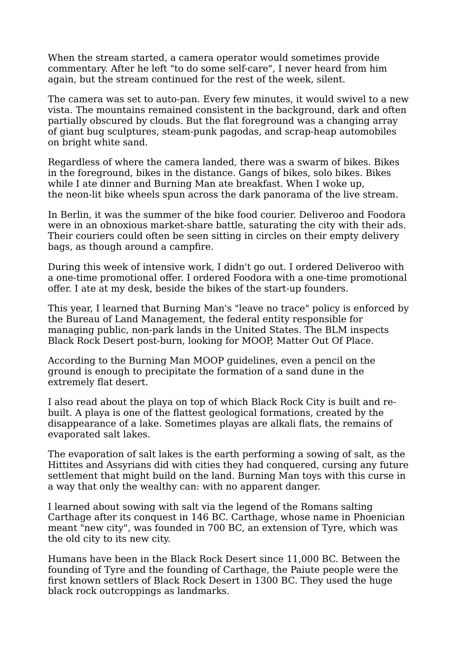When the stream started, a camera operator would sometimes provide commentary. After he left "to do some self-care", I never heard from him again, but the stream continued for the rest of the week, silent.

The camera was set to auto-pan. Every few minutes, it would swivel to a new vista. The mountains remained consistent in the background, dark and often partially obscured by clouds. But the flat foreground was a changing array of giant bug sculptures, steam-punk pagodas, and scrap-heap automobiles on bright white sand.

Regardless of where the camera landed, there was a swarm of bikes. Bikes in the foreground, bikes in the distance. Gangs of bikes, solo bikes. Bikes while I ate dinner and Burning Man ate breakfast. When I woke up, the neon-lit bike wheels spun across the dark panorama of the live stream.

In Berlin, it was the summer of the bike food courier. Deliveroo and Foodora were in an obnoxious market-share battle, saturating the city with their ads. Their couriers could often be seen sitting in circles on their empty delivery bags, as though around a campfire.

During this week of intensive work, I didn't go out. I ordered Deliveroo with a one-time promotional offer. I ordered Foodora with a one-time promotional offer. I ate at my desk, beside the bikes of the start-up founders.

This year, I learned that Burning Man's "leave no trace" policy is enforced by the Bureau of Land Management, the federal entity responsible for managing public, non-park lands in the United States. The BLM inspects Black Rock Desert post-burn, looking for MOOP, Matter Out Of Place.

According to the Burning Man MOOP guidelines, even a pencil on the ground is enough to precipitate the formation of a sand dune in the extremely flat desert.

I also read about the playa on top of which Black Rock City is built and rebuilt. A playa is one of the flattest geological formations, created by the disappearance of a lake. Sometimes playas are alkali flats, the remains of evaporated salt lakes.

The evaporation of salt lakes is the earth performing a sowing of salt, as the Hittites and Assyrians did with cities they had conquered, cursing any future settlement that might build on the land. Burning Man toys with this curse in a way that only the wealthy can: with no apparent danger.

I learned about sowing with salt via the legend of the Romans salting Carthage after its conquest in 146 BC. Carthage, whose name in Phoenician meant "new city", was founded in 700 BC, an extension of Tyre, which was the old city to its new city.

Humans have been in the Black Rock Desert since 11,000 BC. Between the founding of Tyre and the founding of Carthage, the Paiute people were the first known settlers of Black Rock Desert in 1300 BC. They used the huge black rock outcroppings as landmarks.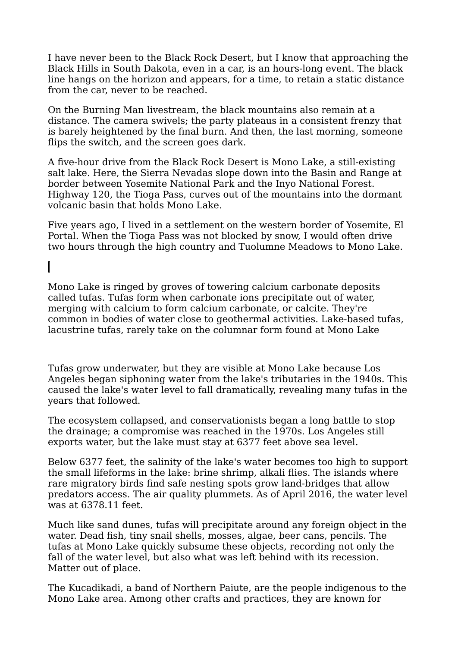I have never been to the Black Rock Desert, but I know that approaching the Black Hills in South Dakota, even in a car, is an hours-long event. The black line hangs on the horizon and appears, for a time, to retain a static distance from the car, never to be reached.

On the Burning Man livestream, the black mountains also remain at a distance. The camera swivels; the party plateaus in a consistent frenzy that is barely heightened by the final burn. And then, the last morning, someone flips the switch, and the screen goes dark.

A five-hour drive from the Black Rock Desert is Mono Lake, a still-existing salt lake. Here, the Sierra Nevadas slope down into the Basin and Range at border between Yosemite National Park and the Inyo National Forest. Highway 120, the Tioga Pass, curves out of the mountains into the dormant volcanic basin that holds Mono Lake.

Five years ago, I lived in a settlement on the western border of Yosemite, El Portal. When the Tioga Pass was not blocked by snow, I would often drive two hours through the high country and Tuolumne Meadows to Mono Lake.

Mono Lake is ringed by groves of towering calcium carbonate deposits called tufas. Tufas form when carbonate ions precipitate out of water, merging with calcium to form calcium carbonate, or calcite. They're common in bodies of water close to geothermal activities. Lake-based tufas, lacustrine tufas, rarely take on the columnar form found at Mono Lake

Tufas grow underwater, but they are visible at Mono Lake because Los Angeles began siphoning water from the lake's tributaries in the 1940s. This caused the lake's water level to fall dramatically, revealing many tufas in the years that followed.

The ecosystem collapsed, and conservationists began a long battle to stop the drainage; a compromise was reached in the 1970s. Los Angeles still exports water, but the lake must stay at 6377 feet above sea level.

Below 6377 feet, the salinity of the lake's water becomes too high to support the small lifeforms in the lake: brine shrimp, alkali flies. The islands where rare migratory birds find safe nesting spots grow land-bridges that allow predators access. The air quality plummets. As of April 2016, the water level was at 6378.11 feet.

Much like sand dunes, tufas will precipitate around any foreign object in the water. Dead fish, tiny snail shells, mosses, algae, beer cans, pencils. The tufas at Mono Lake quickly subsume these objects, recording not only the fall of the water level, but also what was left behind with its recession. Matter out of place.

The Kucadikadi, a band of Northern Paiute, are the people indigenous to the Mono Lake area. Among other crafts and practices, they are known for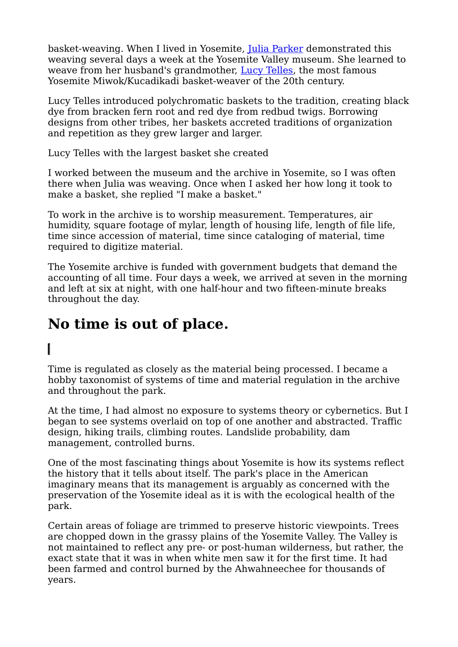basket-weaving. When I lived in Yosemite, [Julia Parker](https://en.wikipedia.org/wiki/Julia_F._Parker) demonstrated this weaving several days a week at the Yosemite Valley museum. She learned to weave from her husband's grandmother, [Lucy Telles,](https://en.wikipedia.org/wiki/Lucy_Telles) the most famous Yosemite Miwok/Kucadikadi basket-weaver of the 20th century.

Lucy Telles introduced polychromatic baskets to the tradition, creating black dye from bracken fern root and red dye from redbud twigs. Borrowing designs from other tribes, her baskets accreted traditions of organization and repetition as they grew larger and larger.

Lucy Telles with the largest basket she created

I worked between the museum and the archive in Yosemite, so I was often there when Julia was weaving. Once when I asked her how long it took to make a basket, she replied "I make a basket."

To work in the archive is to worship measurement. Temperatures, air humidity, square footage of mylar, length of housing life, length of file life, time since accession of material, time since cataloging of material, time required to digitize material.

The Yosemite archive is funded with government budgets that demand the accounting of all time. Four days a week, we arrived at seven in the morning and left at six at night, with one half-hour and two fifteen-minute breaks throughout the day.

## **No time is out of place.**

Time is regulated as closely as the material being processed. I became a hobby taxonomist of systems of time and material regulation in the archive and throughout the park.

At the time, I had almost no exposure to systems theory or cybernetics. But I began to see systems overlaid on top of one another and abstracted. Traffic design, hiking trails, climbing routes. Landslide probability, dam management, controlled burns.

One of the most fascinating things about Yosemite is how its systems reflect the history that it tells about itself. The park's place in the American imaginary means that its management is arguably as concerned with the preservation of the Yosemite ideal as it is with the ecological health of the park.

Certain areas of foliage are trimmed to preserve historic viewpoints. Trees are chopped down in the grassy plains of the Yosemite Valley. The Valley is not maintained to reflect any pre- or post-human wilderness, but rather, the exact state that it was in when white men saw it for the first time. It had been farmed and control burned by the Ahwahneechee for thousands of years.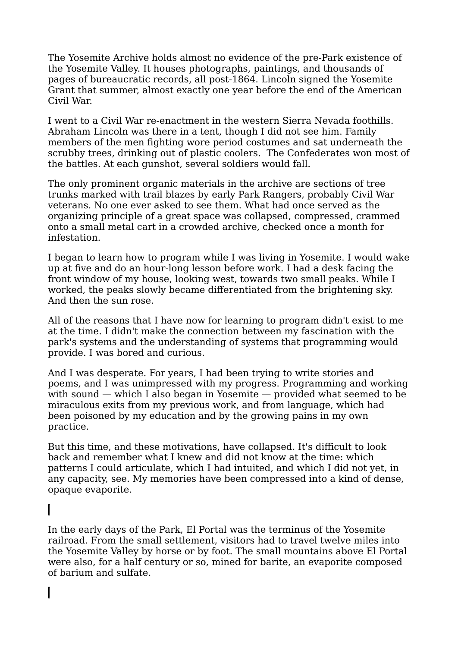The Yosemite Archive holds almost no evidence of the pre-Park existence of the Yosemite Valley. It houses photographs, paintings, and thousands of pages of bureaucratic records, all post-1864. Lincoln signed the Yosemite Grant that summer, almost exactly one year before the end of the American Civil War.

I went to a Civil War re-enactment in the western Sierra Nevada foothills. Abraham Lincoln was there in a tent, though I did not see him. Family members of the men fighting wore period costumes and sat underneath the scrubby trees, drinking out of plastic coolers. The Confederates won most of the battles. At each gunshot, several soldiers would fall.

The only prominent organic materials in the archive are sections of tree trunks marked with trail blazes by early Park Rangers, probably Civil War veterans. No one ever asked to see them. What had once served as the organizing principle of a great space was collapsed, compressed, crammed onto a small metal cart in a crowded archive, checked once a month for infestation.

I began to learn how to program while I was living in Yosemite. I would wake up at five and do an hour-long lesson before work. I had a desk facing the front window of my house, looking west, towards two small peaks. While I worked, the peaks slowly became differentiated from the brightening sky. And then the sun rose.

All of the reasons that I have now for learning to program didn't exist to me at the time. I didn't make the connection between my fascination with the park's systems and the understanding of systems that programming would provide. I was bored and curious.

And I was desperate. For years, I had been trying to write stories and poems, and I was unimpressed with my progress. Programming and working with sound — which I also began in Yosemite — provided what seemed to be miraculous exits from my previous work, and from language, which had been poisoned by my education and by the growing pains in my own practice.

But this time, and these motivations, have collapsed. It's difficult to look back and remember what I knew and did not know at the time: which patterns I could articulate, which I had intuited, and which I did not yet, in any capacity, see. My memories have been compressed into a kind of dense, opaque evaporite.

In the early days of the Park, El Portal was the terminus of the Yosemite railroad. From the small settlement, visitors had to travel twelve miles into the Yosemite Valley by horse or by foot. The small mountains above El Portal were also, for a half century or so, mined for barite, an evaporite composed of barium and sulfate.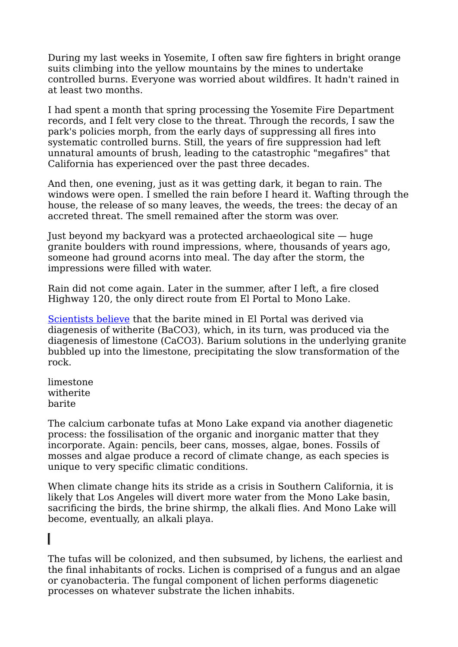During my last weeks in Yosemite, I often saw fire fighters in bright orange suits climbing into the yellow mountains by the mines to undertake controlled burns. Everyone was worried about wildfires. It hadn't rained in at least two months.

I had spent a month that spring processing the Yosemite Fire Department records, and I felt very close to the threat. Through the records, I saw the park's policies morph, from the early days of suppressing all fires into systematic controlled burns. Still, the years of fire suppression had left unnatural amounts of brush, leading to the catastrophic "megafires" that California has experienced over the past three decades.

And then, one evening, just as it was getting dark, it began to rain. The windows were open. I smelled the rain before I heard it. Wafting through the house, the release of so many leaves, the weeds, the trees: the decay of an accreted threat. The smell remained after the storm was over.

Just beyond my backyard was a protected archaeological site — huge granite boulders with round impressions, where, thousands of years ago, someone had ground acorns into meal. The day after the storm, the impressions were filled with water.

Rain did not come again. Later in the summer, after I left, a fire closed Highway 120, the only direct route from El Portal to Mono Lake.

[Scientists believe](https://rruff-2.geo.arizona.edu/uploads/CM24_79.pdf) that the barite mined in El Portal was derived via diagenesis of witherite (BaCO3), which, in its turn, was produced via the diagenesis of limestone (CaCO3). Barium solutions in the underlying granite bubbled up into the limestone, precipitating the slow transformation of the rock.

limestone witherite barite

The calcium carbonate tufas at Mono Lake expand via another diagenetic process: the fossilisation of the organic and inorganic matter that they incorporate. Again: pencils, beer cans, mosses, algae, bones. Fossils of mosses and algae produce a record of climate change, as each species is unique to very specific climatic conditions.

When climate change hits its stride as a crisis in Southern California, it is likely that Los Angeles will divert more water from the Mono Lake basin, sacrificing the birds, the brine shirmp, the alkali flies. And Mono Lake will become, eventually, an alkali playa.

The tufas will be colonized, and then subsumed, by lichens, the earliest and the final inhabitants of rocks. Lichen is comprised of a fungus and an algae or cyanobacteria. The fungal component of lichen performs diagenetic processes on whatever substrate the lichen inhabits.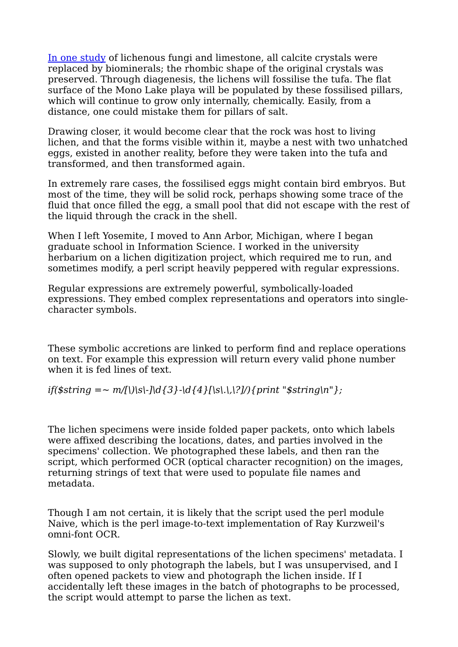[In one study](http://onlinelibrary.wiley.com/doi/10.1029/2006JG000203/full) of lichenous fungi and limestone, all calcite crystals were replaced by biominerals; the rhombic shape of the original crystals was preserved. Through diagenesis, the lichens will fossilise the tufa. The flat surface of the Mono Lake playa will be populated by these fossilised pillars, which will continue to grow only internally, chemically. Easily, from a distance, one could mistake them for pillars of salt.

Drawing closer, it would become clear that the rock was host to living lichen, and that the forms visible within it, maybe a nest with two unhatched eggs, existed in another reality, before they were taken into the tufa and transformed, and then transformed again.

In extremely rare cases, the fossilised eggs might contain bird embryos. But most of the time, they will be solid rock, perhaps showing some trace of the fluid that once filled the egg, a small pool that did not escape with the rest of the liquid through the crack in the shell.

When I left Yosemite, I moved to Ann Arbor, Michigan, where I began graduate school in Information Science. I worked in the university herbarium on a lichen digitization project, which required me to run, and sometimes modify, a perl script heavily peppered with regular expressions.

Regular expressions are extremely powerful, symbolically-loaded expressions. They embed complex representations and operators into singlecharacter symbols.

These symbolic accretions are linked to perform find and replace operations on text. For example this expression will return every valid phone number when it is fed lines of text.

 $if(\$string = ~ m/[\cdot \; s\cdot - \; d\{3\} - d\{4\}[\cdot \; s\cdot - \; d\{4\}])$  *{print "\$string\n"};* 

The lichen specimens were inside folded paper packets, onto which labels were affixed describing the locations, dates, and parties involved in the specimens' collection. We photographed these labels, and then ran the script, which performed OCR (optical character recognition) on the images, returning strings of text that were used to populate file names and metadata.

Though I am not certain, it is likely that the script used the perl module Naive, which is the perl image-to-text implementation of Ray Kurzweil's omni-font OCR.

Slowly, we built digital representations of the lichen specimens' metadata. I was supposed to only photograph the labels, but I was unsupervised, and I often opened packets to view and photograph the lichen inside. If I accidentally left these images in the batch of photographs to be processed, the script would attempt to parse the lichen as text.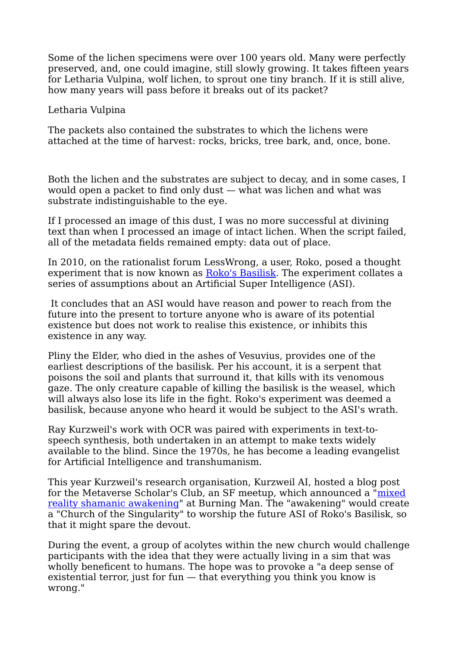Some of the lichen specimens were over 100 years old. Many were perfectly preserved, and, one could imagine, still slowly growing. It takes fifteen years for Letharia Vulpina, wolf lichen, to sprout one tiny branch. If it is still alive, how many years will pass before it breaks out of its packet?

#### Letharia Vulpina

The packets also contained the substrates to which the lichens were attached at the time of harvest: rocks, bricks, tree bark, and, once, bone.

Both the lichen and the substrates are subject to decay, and in some cases, I would open a packet to find only dust — what was lichen and what was substrate indistinguishable to the eye.

If I processed an image of this dust, I was no more successful at divining text than when I processed an image of intact lichen. When the script failed, all of the metadata fields remained empty: data out of place.

In 2010, on the rationalist forum LessWrong, a user, Roko, posed a thought experiment that is now known as [Roko's Basilisk.](https://wiki.lesswrong.com/wiki/Roko) The experiment collates a series of assumptions about an Artificial Super Intelligence (ASI).

 It concludes that an ASI would have reason and power to reach from the future into the present to torture anyone who is aware of its potential existence but does not work to realise this existence, or inhibits this existence in any way.

Pliny the Elder, who died in the ashes of Vesuvius, provides one of the earliest descriptions of the basilisk. Per his account, it is a serpent that poisons the soil and plants that surround it, that kills with its venomous gaze. The only creature capable of killing the basilisk is the weasel, which will always also lose its life in the fight. Roko's experiment was deemed a basilisk, because anyone who heard it would be subject to the ASI's wrath.

Ray Kurzweil's work with OCR was paired with experiments in text-tospeech synthesis, both undertaken in an attempt to make texts widely available to the blind. Since the 1970s, he has become a leading evangelist for Artificial Intelligence and transhumanism.

This year Kurzweil's research organisation, Kurzweil AI, hosted a blog post for the Metaverse Scholar's Club, an SF meetup, which announced a "[mixed](http://www.kurzweilai.net/the-first-church-of-the-singularity-rokos-basilik) [reality shamanic awakening"](http://www.kurzweilai.net/the-first-church-of-the-singularity-rokos-basilik) at Burning Man. The "awakening" would create a "Church of the Singularity" to worship the future ASI of Roko's Basilisk, so that it might spare the devout.

During the event, a group of acolytes within the new church would challenge participants with the idea that they were actually living in a sim that was wholly beneficent to humans. The hope was to provoke a "a deep sense of existential terror, just for fun  $-$  that everything you think you know is wrong."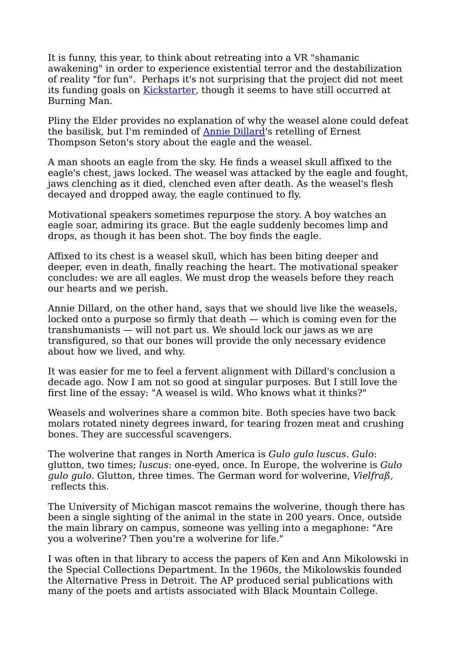It is funny, this year, to think about retreating into a VR "shamanic awakening" in order to experience existential terror and the destabilization of reality "for fun". Perhaps it's not surprising that the project did not meet its funding goals on [Kickstarter](https://www.kickstarter.com/projects/2137140720/the-first-church-of-the-singularity-rokos-basilica?ref=user_menu), though it seems to have still occurred at Burning Man.

Pliny the Elder provides no explanation of why the weasel alone could defeat the basilisk, but I'm reminded of [Annie Dillard](http://www.courses.vcu.edu/ENG200-lad/dillard.htm)'s retelling of Ernest Thompson Seton's story about the eagle and the weasel.

A man shoots an eagle from the sky. He finds a weasel skull affixed to the eagle's chest, jaws locked. The weasel was attacked by the eagle and fought, jaws clenching as it died, clenched even after death. As the weasel's flesh decayed and dropped away, the eagle continued to fly.

Motivational speakers sometimes repurpose the story. A boy watches an eagle soar, admiring its grace. But the eagle suddenly becomes limp and drops, as though it has been shot. The boy finds the eagle.

Affixed to its chest is a weasel skull, which has been biting deeper and deeper, even in death, finally reaching the heart. The motivational speaker concludes: we are all eagles. We must drop the weasels before they reach our hearts and we perish.

Annie Dillard, on the other hand, says that we should live like the weasels, locked onto a purpose so firmly that death — which is coming even for the transhumanists — will not part us. We should lock our jaws as we are transfigured, so that our bones will provide the only necessary evidence about how we lived, and why.

It was easier for me to feel a fervent alignment with Dillard's conclusion a decade ago. Now I am not so good at singular purposes. But I still love the first line of the essay: "A weasel is wild. Who knows what it thinks?"

Weasels and wolverines share a common bite. Both species have two back molars rotated ninety degrees inward, for tearing frozen meat and crushing bones. They are successful scavengers.

The wolverine that ranges in North America is *Gulo gulo luscus*. *Gulo*: glutton, two times; *luscus*: one-eyed, once. In Europe, the wolverine is *Gulo gulo gulo.* Glutton, three times. The German word for wolverine, *Vielfraß,* reflects this.

The University of Michigan mascot remains the wolverine, though there has been a single sighting of the animal in the state in 200 years. Once, outside the main library on campus, someone was yelling into a megaphone: "Are you a wolverine? Then you're a wolverine for life."

I was often in that library to access the papers of Ken and Ann Mikolowski in the Special Collections Department. In the 1960s, the Mikolowskis founded the Alternative Press in Detroit. The AP produced serial publications with many of the poets and artists associated with Black Mountain College.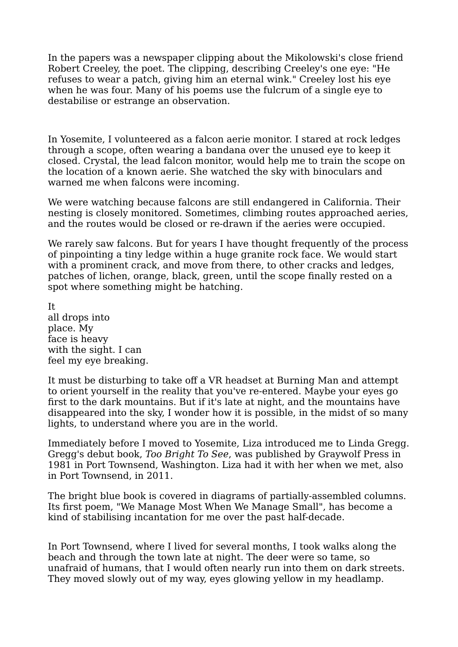In the papers was a newspaper clipping about the Mikolowski's close friend Robert Creeley, the poet. The clipping, describing Creeley's one eye: "He refuses to wear a patch, giving him an eternal wink." Creeley lost his eye when he was four. Many of his poems use the fulcrum of a single eye to destabilise or estrange an observation.

In Yosemite, I volunteered as a falcon aerie monitor. I stared at rock ledges through a scope, often wearing a bandana over the unused eye to keep it closed. Crystal, the lead falcon monitor, would help me to train the scope on the location of a known aerie. She watched the sky with binoculars and warned me when falcons were incoming.

We were watching because falcons are still endangered in California. Their nesting is closely monitored. Sometimes, climbing routes approached aeries, and the routes would be closed or re-drawn if the aeries were occupied.

We rarely saw falcons. But for years I have thought frequently of the process of pinpointing a tiny ledge within a huge granite rock face. We would start with a prominent crack, and move from there, to other cracks and ledges, patches of lichen, orange, black, green, until the scope finally rested on a spot where something might be hatching.

It all drops into place. My face is heavy with the sight. I can feel my eye breaking.

It must be disturbing to take off a VR headset at Burning Man and attempt to orient yourself in the reality that you've re-entered. Maybe your eyes go first to the dark mountains. But if it's late at night, and the mountains have disappeared into the sky, I wonder how it is possible, in the midst of so many lights, to understand where you are in the world.

Immediately before I moved to Yosemite, Liza introduced me to Linda Gregg. Gregg's debut book, *Too Bright To See*, was published by Graywolf Press in 1981 in Port Townsend, Washington. Liza had it with her when we met, also in Port Townsend, in 2011.

The bright blue book is covered in diagrams of partially-assembled columns. Its first poem, "We Manage Most When We Manage Small", has become a kind of stabilising incantation for me over the past half-decade.

In Port Townsend, where I lived for several months, I took walks along the beach and through the town late at night. The deer were so tame, so unafraid of humans, that I would often nearly run into them on dark streets. They moved slowly out of my way, eyes glowing yellow in my headlamp.